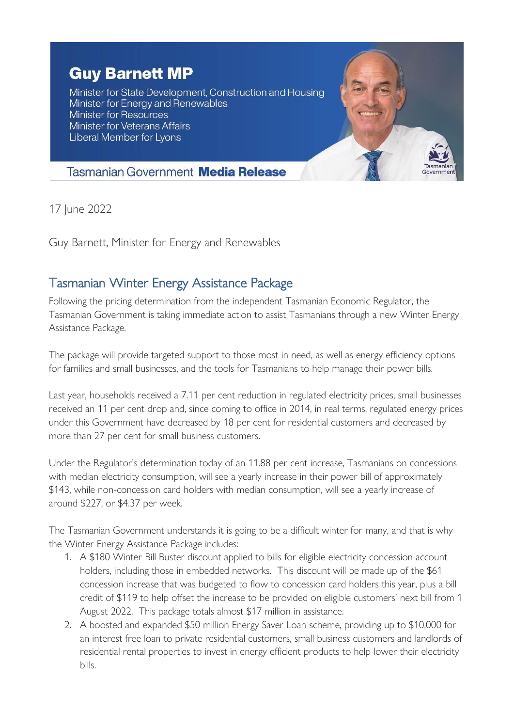## **Guy Barnett MP**

Minister for State Development, Construction and Housing Minister for Energy and Renewables **Minister for Resources Minister for Veterans Affairs** Liberal Member for Lyons



## **Tasmanian Government Media Release**

17 June 2022

Guy Barnett, Minister for Energy and Renewables

## Tasmanian Winter Energy Assistance Package

Following the pricing determination from the independent Tasmanian Economic Regulator, the Tasmanian Government is taking immediate action to assist Tasmanians through a new Winter Energy Assistance Package.

The package will provide targeted support to those most in need, as well as energy efficiency options for families and small businesses, and the tools for Tasmanians to help manage their power bills.

Last year, households received a 7.11 per cent reduction in regulated electricity prices, small businesses received an 11 per cent drop and, since coming to office in 2014, in real terms, regulated energy prices under this Government have decreased by 18 per cent for residential customers and decreased by more than 27 per cent for small business customers.

Under the Regulator's determination today of an 11.88 per cent increase, Tasmanians on concessions with median electricity consumption, will see a yearly increase in their power bill of approximately \$143, while non-concession card holders with median consumption, will see a yearly increase of around \$227, or \$4.37 per week.

The Tasmanian Government understands it is going to be a difficult winter for many, and that is why the Winter Energy Assistance Package includes:

- 1. A \$180 Winter Bill Buster discount applied to bills for eligible electricity concession account holders, including those in embedded networks. This discount will be made up of the \$61 concession increase that was budgeted to flow to concession card holders this year, plus a bill credit of \$119 to help offset the increase to be provided on eligible customers' next bill from 1 August 2022. This package totals almost \$17 million in assistance.
- 2. A boosted and expanded \$50 million Energy Saver Loan scheme, providing up to \$10,000 for an interest free loan to private residential customers, small business customers and landlords of residential rental properties to invest in energy efficient products to help lower their electricity bills.